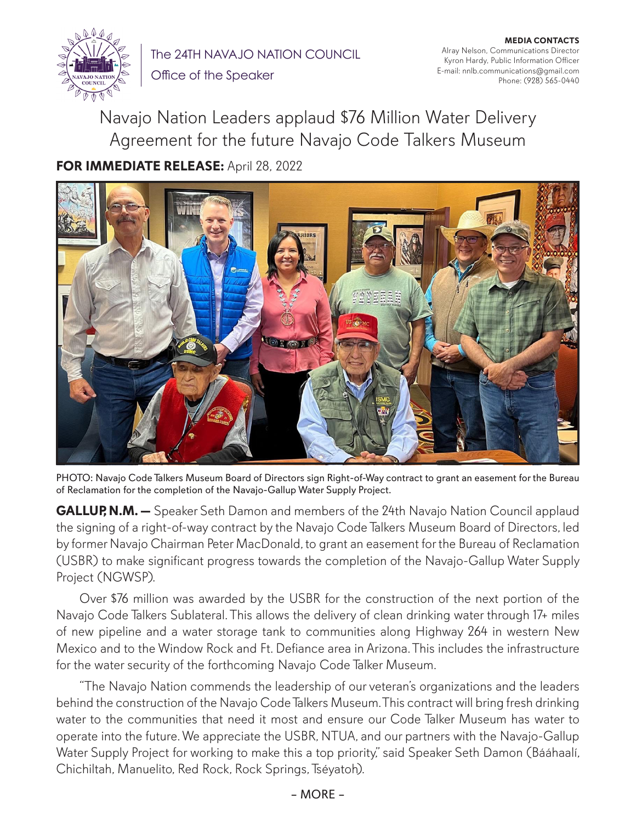

The 24TH NAVAJO NATION COUNCIL

**MEDIA CONTACTS** Alray Nelson, Communications Director Kyron Hardy, Public Information Officer E-mail: nnlb.communications@gmail.com Phone: (928) 565-0440

Office of the Speaker

Navajo Nation Leaders applaud \$76 Million Water Delivery Agreement for the future Navajo Code Talkers Museum **FOR IMMEDIATE RELEASE:** April 28, 2022



PHOTO: Navajo Code Talkers Museum Board of Directors sign Right-of-Way contract to grant an easement for the Bureau of Reclamation for the completion of the Navajo-Gallup Water Supply Project.

**GALLUP, N.M.** - Speaker Seth Damon and members of the 24th Navajo Nation Council applaud the signing of a right-of-way contract by the Navajo Code Talkers Museum Board of Directors, led by former Navajo Chairman Peter MacDonald, to grant an easement for the Bureau of Reclamation (USBR) to make significant progress towards the completion of the Navajo-Gallup Water Supply Project (NGWSP).

Over \$76 million was awarded by the USBR for the construction of the next portion of the Navajo Code Talkers Sublateral. This allows the delivery of clean drinking water through 17+ miles of new pipeline and a water storage tank to communities along Highway 264 in western New Mexico and to the Window Rock and Ft. Defiance area in Arizona. This includes the infrastructure for the water security of the forthcoming Navajo Code Talker Museum.

"The Navajo Nation commends the leadership of our veteran's organizations and the leaders behind the construction of the Navajo Code Talkers Museum. This contract will bring fresh drinking water to the communities that need it most and ensure our Code Talker Museum has water to operate into the future. We appreciate the USBR, NTUA, and our partners with the Navajo-Gallup Water Supply Project for working to make this a top priority," said Speaker Seth Damon (Bááhaalí, Chichiltah, Manuelito, Red Rock, Rock Springs, Tséyatoh).